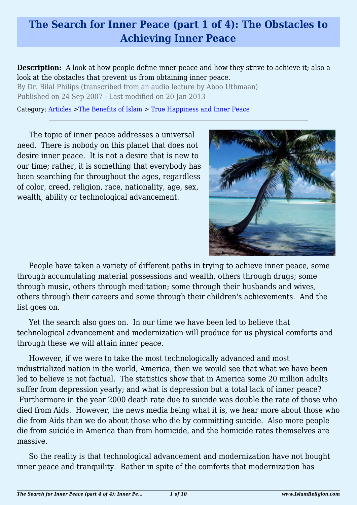# **The Search for Inner Peace (part 1 of 4): The Obstacles to Achieving Inner Peace**

**Description:** A look at how people define inner peace and how they strive to achieve it; also a look at the obstacles that prevent us from obtaining inner peace.

By Dr. Bilal Philips (transcribed from an audio lecture by Aboo Uthmaan) Published on 24 Sep 2007 - Last modified on 20 Jan 2013

Category: [Articles](http://www.islamreligion.com/articles/) >[The Benefits of Islam](http://www.islamreligion.com/category/43/) > [True Happiness and Inner Peace](http://www.islamreligion.com/category/104/)

The topic of inner peace addresses a universal need. There is nobody on this planet that does not desire inner peace. It is not a desire that is new to our time; rather, it is something that everybody has been searching for throughout the ages, regardless of color, creed, religion, race, nationality, age, sex, wealth, ability or technological advancement.



People have taken a variety of different paths in trying to achieve inner peace, some through accumulating material possessions and wealth, others through drugs; some through music, others through meditation; some through their husbands and wives, others through their careers and some through their children's achievements. And the list goes on.

Yet the search also goes on. In our time we have been led to believe that technological advancement and modernization will produce for us physical comforts and through these we will attain inner peace.

However, if we were to take the most technologically advanced and most industrialized nation in the world, America, then we would see that what we have been led to believe is not factual. The statistics show that in America some 20 million adults suffer from depression yearly; and what is depression but a total lack of inner peace? Furthermore in the year 2000 death rate due to suicide was double the rate of those who died from Aids. However, the news media being what it is, we hear more about those who die from Aids than we do about those who die by committing suicide. Also more people die from suicide in America than from homicide, and the homicide rates themselves are massive.

So the reality is that technological advancement and modernization have not bought inner peace and tranquility. Rather in spite of the comforts that modernization has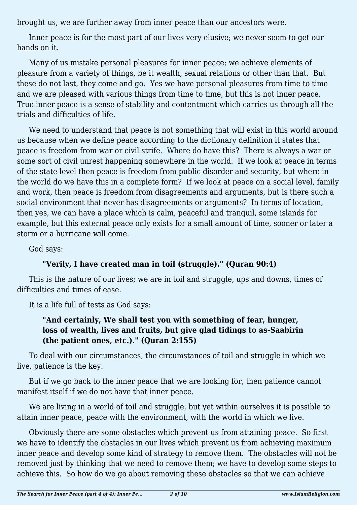brought us, we are further away from inner peace than our ancestors were.

Inner peace is for the most part of our lives very elusive; we never seem to get our hands on it.

Many of us mistake personal pleasures for inner peace; we achieve elements of pleasure from a variety of things, be it wealth, sexual relations or other than that. But these do not last, they come and go. Yes we have personal pleasures from time to time and we are pleased with various things from time to time, but this is not inner peace. True inner peace is a sense of stability and contentment which carries us through all the trials and difficulties of life.

We need to understand that peace is not something that will exist in this world around us because when we define peace according to the dictionary definition it states that peace is freedom from war or civil strife. Where do have this? There is always a war or some sort of civil unrest happening somewhere in the world. If we look at peace in terms of the state level then peace is freedom from public disorder and security, but where in the world do we have this in a complete form? If we look at peace on a social level, family and work, then peace is freedom from disagreements and arguments, but is there such a social environment that never has disagreements or arguments? In terms of location, then yes, we can have a place which is calm, peaceful and tranquil, some islands for example, but this external peace only exists for a small amount of time, sooner or later a storm or a hurricane will come.

God says:

### **"Verily, I have created man in toil (struggle)." (Quran 90:4)**

This is the nature of our lives; we are in toil and struggle, ups and downs, times of difficulties and times of ease.

It is a life full of tests as God says:

### **"And certainly, We shall test you with something of fear, hunger, loss of wealth, lives and fruits, but give glad tidings to as-Saabirin (the patient ones, etc.)." (Quran 2:155)**

To deal with our circumstances, the circumstances of toil and struggle in which we live, patience is the key.

But if we go back to the inner peace that we are looking for, then patience cannot manifest itself if we do not have that inner peace.

We are living in a world of toil and struggle, but yet within ourselves it is possible to attain inner peace, peace with the environment, with the world in which we live.

Obviously there are some obstacles which prevent us from attaining peace. So first we have to identify the obstacles in our lives which prevent us from achieving maximum inner peace and develop some kind of strategy to remove them. The obstacles will not be removed just by thinking that we need to remove them; we have to develop some steps to achieve this. So how do we go about removing these obstacles so that we can achieve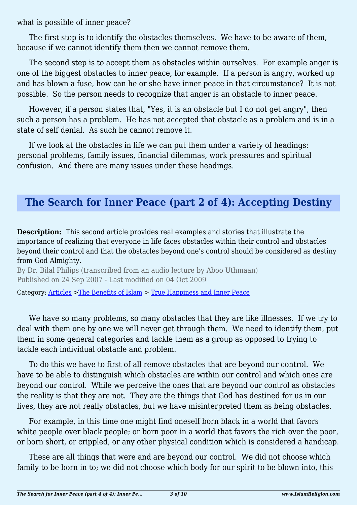what is possible of inner peace?

The first step is to identify the obstacles themselves. We have to be aware of them, because if we cannot identify them then we cannot remove them.

The second step is to accept them as obstacles within ourselves. For example anger is one of the biggest obstacles to inner peace, for example. If a person is angry, worked up and has blown a fuse, how can he or she have inner peace in that circumstance? It is not possible. So the person needs to recognize that anger is an obstacle to inner peace.

However, if a person states that, "Yes, it is an obstacle but I do not get angry", then such a person has a problem. He has not accepted that obstacle as a problem and is in a state of self denial. As such he cannot remove it.

If we look at the obstacles in life we can put them under a variety of headings: personal problems, family issues, financial dilemmas, work pressures and spiritual confusion. And there are many issues under these headings.

### **The Search for Inner Peace (part 2 of 4): Accepting Destiny**

**Description:** This second article provides real examples and stories that illustrate the importance of realizing that everyone in life faces obstacles within their control and obstacles beyond their control and that the obstacles beyond one's control should be considered as destiny from God Almighty.

By Dr. Bilal Philips (transcribed from an audio lecture by Aboo Uthmaan) Published on 24 Sep 2007 - Last modified on 04 Oct 2009

Category: [Articles](http://www.islamreligion.com/articles/) >[The Benefits of Islam](http://www.islamreligion.com/category/43/) > [True Happiness and Inner Peace](http://www.islamreligion.com/category/104/)

We have so many problems, so many obstacles that they are like illnesses. If we try to deal with them one by one we will never get through them. We need to identify them, put them in some general categories and tackle them as a group as opposed to trying to tackle each individual obstacle and problem.

To do this we have to first of all remove obstacles that are beyond our control. We have to be able to distinguish which obstacles are within our control and which ones are beyond our control. While we perceive the ones that are beyond our control as obstacles the reality is that they are not. They are the things that God has destined for us in our lives, they are not really obstacles, but we have misinterpreted them as being obstacles.

For example, in this time one might find oneself born black in a world that favors white people over black people; or born poor in a world that favors the rich over the poor, or born short, or crippled, or any other physical condition which is considered a handicap.

These are all things that were and are beyond our control. We did not choose which family to be born in to; we did not choose which body for our spirit to be blown into, this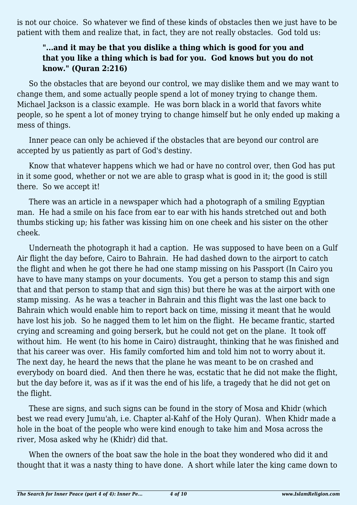is not our choice. So whatever we find of these kinds of obstacles then we just have to be patient with them and realize that, in fact, they are not really obstacles. God told us:

### **"...and it may be that you dislike a thing which is good for you and that you like a thing which is bad for you. God knows but you do not know." (Quran 2:216)**

So the obstacles that are beyond our control, we may dislike them and we may want to change them, and some actually people spend a lot of money trying to change them. Michael Jackson is a classic example. He was born black in a world that favors white people, so he spent a lot of money trying to change himself but he only ended up making a mess of things.

Inner peace can only be achieved if the obstacles that are beyond our control are accepted by us patiently as part of God's destiny.

Know that whatever happens which we had or have no control over, then God has put in it some good, whether or not we are able to grasp what is good in it; the good is still there. So we accept it!

There was an article in a newspaper which had a photograph of a smiling Egyptian man. He had a smile on his face from ear to ear with his hands stretched out and both thumbs sticking up; his father was kissing him on one cheek and his sister on the other cheek.

Underneath the photograph it had a caption. He was supposed to have been on a Gulf Air flight the day before, Cairo to Bahrain. He had dashed down to the airport to catch the flight and when he got there he had one stamp missing on his Passport (In Cairo you have to have many stamps on your documents. You get a person to stamp this and sign that and that person to stamp that and sign this) but there he was at the airport with one stamp missing. As he was a teacher in Bahrain and this flight was the last one back to Bahrain which would enable him to report back on time, missing it meant that he would have lost his job. So he nagged them to let him on the flight. He became frantic, started crying and screaming and going berserk, but he could not get on the plane. It took off without him. He went (to his home in Cairo) distraught, thinking that he was finished and that his career was over. His family comforted him and told him not to worry about it. The next day, he heard the news that the plane he was meant to be on crashed and everybody on board died. And then there he was, ecstatic that he did not make the flight, but the day before it, was as if it was the end of his life, a tragedy that he did not get on the flight.

These are signs, and such signs can be found in the story of Mosa and Khidr (which best we read every Jumu'ah, i.e. Chapter al-Kahf of the Holy Quran). When Khidr made a hole in the boat of the people who were kind enough to take him and Mosa across the river, Mosa asked why he (Khidr) did that.

When the owners of the boat saw the hole in the boat they wondered who did it and thought that it was a nasty thing to have done. A short while later the king came down to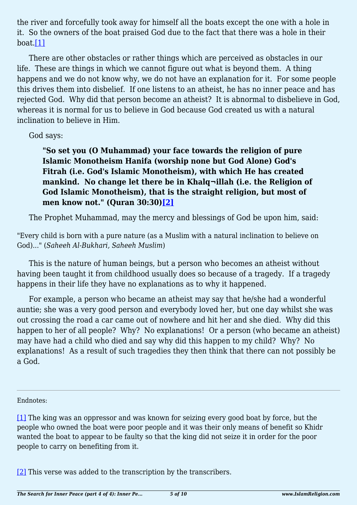the river and forcefully took away for himself all the boats except the one with a hole in it. So the owners of the boat praised God due to the fact that there was a hole in their boat[.\[1\]](#page-4-0)

<span id="page-4-2"></span>There are other obstacles or rather things which are perceived as obstacles in our life. These are things in which we cannot figure out what is beyond them. A thing happens and we do not know why, we do not have an explanation for it. For some people this drives them into disbelief. If one listens to an atheist, he has no inner peace and has rejected God. Why did that person become an atheist? It is abnormal to disbelieve in God, whereas it is normal for us to believe in God because God created us with a natural inclination to believe in Him.

#### God says:

**"So set you (O Muhammad) your face towards the religion of pure Islamic Monotheism Hanifa (worship none but God Alone) God's Fitrah (i.e. God's Islamic Monotheism), with which He has created mankind. No change let there be in Khalq¬illah (i.e. the Religion of God Islamic Monotheism), that is the straight religion, but most of men know not." (Quran 30:30)[\[2\]](#page-4-1)**

<span id="page-4-3"></span>The Prophet Muhammad, may the mercy and blessings of God be upon him, said:

"Every child is born with a pure nature (as a Muslim with a natural inclination to believe on God)..." (*Saheeh Al-Bukhari, Saheeh Muslim*)

This is the nature of human beings, but a person who becomes an atheist without having been taught it from childhood usually does so because of a tragedy. If a tragedy happens in their life they have no explanations as to why it happened.

For example, a person who became an atheist may say that he/she had a wonderful auntie; she was a very good person and everybody loved her, but one day whilst she was out crossing the road a car came out of nowhere and hit her and she died. Why did this happen to her of all people? Why? No explanations! Or a person (who became an atheist) may have had a child who died and say why did this happen to my child? Why? No explanations! As a result of such tragedies they then think that there can not possibly be a God.

#### <span id="page-4-0"></span>Endnotes:

[\[1\]](#page-4-2) The king was an oppressor and was known for seizing every good boat by force, but the people who owned the boat were poor people and it was their only means of benefit so Khidr wanted the boat to appear to be faulty so that the king did not seize it in order for the poor people to carry on benefiting from it.

<span id="page-4-1"></span>[\[2\]](#page-4-3) This verse was added to the transcription by the transcribers.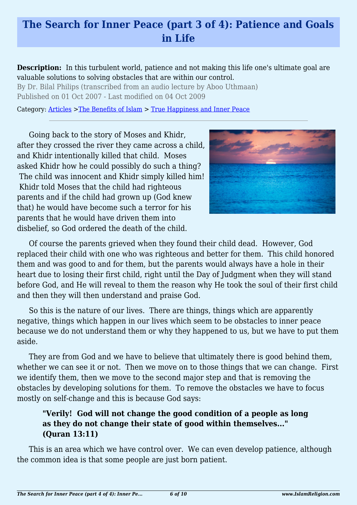# **The Search for Inner Peace (part 3 of 4): Patience and Goals in Life**

**Description:** In this turbulent world, patience and not making this life one's ultimate goal are valuable solutions to solving obstacles that are within our control.

By Dr. Bilal Philips (transcribed from an audio lecture by Aboo Uthmaan) Published on 01 Oct 2007 - Last modified on 04 Oct 2009

Category: [Articles](http://www.islamreligion.com/articles/) >[The Benefits of Islam](http://www.islamreligion.com/category/43/) > [True Happiness and Inner Peace](http://www.islamreligion.com/category/104/)

Going back to the story of Moses and Khidr, after they crossed the river they came across a child, and Khidr intentionally killed that child. Moses asked Khidr how he could possibly do such a thing? The child was innocent and Khidr simply killed him! Khidr told Moses that the child had righteous parents and if the child had grown up (God knew that) he would have become such a terror for his parents that he would have driven them into disbelief, so God ordered the death of the child.



Of course the parents grieved when they found their child dead. However, God replaced their child with one who was righteous and better for them. This child honored them and was good to and for them, but the parents would always have a hole in their heart due to losing their first child, right until the Day of Judgment when they will stand before God, and He will reveal to them the reason why He took the soul of their first child and then they will then understand and praise God.

So this is the nature of our lives. There are things, things which are apparently negative, things which happen in our lives which seem to be obstacles to inner peace because we do not understand them or why they happened to us, but we have to put them aside.

They are from God and we have to believe that ultimately there is good behind them, whether we can see it or not. Then we move on to those things that we can change. First we identify them, then we move to the second major step and that is removing the obstacles by developing solutions for them. To remove the obstacles we have to focus mostly on self-change and this is because God says:

### **"Verily! God will not change the good condition of a people as long as they do not change their state of good within themselves..." (Quran 13:11)**

This is an area which we have control over. We can even develop patience, although the common idea is that some people are just born patient.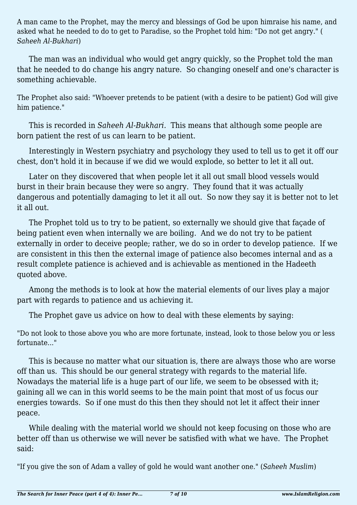A man came to the Prophet, may the mercy and blessings of God be upon himraise his name, and asked what he needed to do to get to Paradise, so the Prophet told him: "Do not get angry." ( *Saheeh Al-Bukhari*)

The man was an individual who would get angry quickly, so the Prophet told the man that he needed to do change his angry nature. So changing oneself and one's character is something achievable.

The Prophet also said: "Whoever pretends to be patient (with a desire to be patient) God will give him patience."

This is recorded in *Saheeh Al-Bukhari.* This means that although some people are born patient the rest of us can learn to be patient.

Interestingly in Western psychiatry and psychology they used to tell us to get it off our chest, don't hold it in because if we did we would explode, so better to let it all out.

Later on they discovered that when people let it all out small blood vessels would burst in their brain because they were so angry. They found that it was actually dangerous and potentially damaging to let it all out. So now they say it is better not to let it all out.

The Prophet told us to try to be patient, so externally we should give that façade of being patient even when internally we are boiling. And we do not try to be patient externally in order to deceive people; rather, we do so in order to develop patience. If we are consistent in this then the external image of patience also becomes internal and as a result complete patience is achieved and is achievable as mentioned in the Hadeeth quoted above.

Among the methods is to look at how the material elements of our lives play a major part with regards to patience and us achieving it.

The Prophet gave us advice on how to deal with these elements by saying:

"Do not look to those above you who are more fortunate, instead, look to those below you or less fortunate..."

This is because no matter what our situation is, there are always those who are worse off than us. This should be our general strategy with regards to the material life. Nowadays the material life is a huge part of our life, we seem to be obsessed with it; gaining all we can in this world seems to be the main point that most of us focus our energies towards. So if one must do this then they should not let it affect their inner peace.

While dealing with the material world we should not keep focusing on those who are better off than us otherwise we will never be satisfied with what we have. The Prophet said:

"If you give the son of Adam a valley of gold he would want another one." (*Saheeh Muslim*)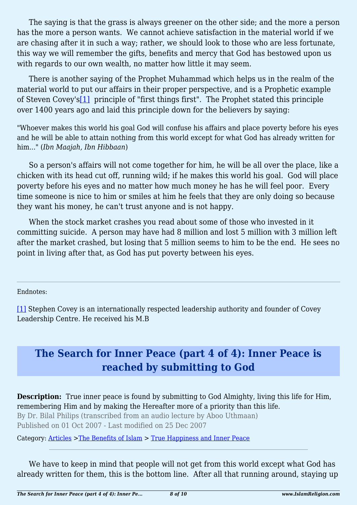The saying is that the grass is always greener on the other side; and the more a person has the more a person wants. We cannot achieve satisfaction in the material world if we are chasing after it in such a way; rather, we should look to those who are less fortunate, this way we will remember the gifts, benefits and mercy that God has bestowed upon us with regards to our own wealth, no matter how little it may seem.

<span id="page-7-1"></span>There is another saying of the Prophet Muhammad which helps us in the realm of the material world to put our affairs in their proper perspective, and is a Prophetic example of Steven Covey'[s\[1\]](#page-7-0) principle of "first things first". The Prophet stated this principle over 1400 years ago and laid this principle down for the believers by saying:

"Whoever makes this world his goal God will confuse his affairs and place poverty before his eyes and he will be able to attain nothing from this world except for what God has already written for him..." (*Ibn Maajah, Ibn Hibbaan*)

So a person's affairs will not come together for him, he will be all over the place, like a chicken with its head cut off, running wild; if he makes this world his goal. God will place poverty before his eyes and no matter how much money he has he will feel poor. Every time someone is nice to him or smiles at him he feels that they are only doing so because they want his money, he can't trust anyone and is not happy.

When the stock market crashes you read about some of those who invested in it committing suicide. A person may have had 8 million and lost 5 million with 3 million left after the market crashed, but losing that 5 million seems to him to be the end. He sees no point in living after that, as God has put poverty between his eyes.

<span id="page-7-0"></span>Endnotes:

[\[1\]](#page-7-1) Stephen Covey is an internationally respected leadership authority and founder of Covey Leadership Centre. He received his M.B

## **The Search for Inner Peace (part 4 of 4): Inner Peace is reached by submitting to God**

**Description:** True inner peace is found by submitting to God Almighty, living this life for Him, remembering Him and by making the Hereafter more of a priority than this life.

By Dr. Bilal Philips (transcribed from an audio lecture by Aboo Uthmaan) Published on 01 Oct 2007 - Last modified on 25 Dec 2007

Category: [Articles](http://www.islamreligion.com/articles/) >[The Benefits of Islam](http://www.islamreligion.com/category/43/) > [True Happiness and Inner Peace](http://www.islamreligion.com/category/104/)

We have to keep in mind that people will not get from this world except what God has already written for them, this is the bottom line. After all that running around, staying up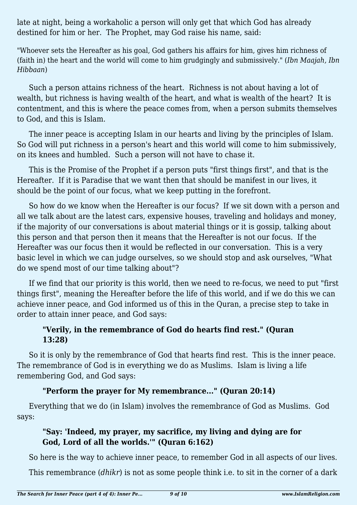late at night, being a workaholic a person will only get that which God has already destined for him or her. The Prophet, may God raise his name, said:

"Whoever sets the Hereafter as his goal, God gathers his affairs for him, gives him richness of (faith in) the heart and the world will come to him grudgingly and submissively." (*Ibn Maajah, Ibn Hibbaan*)

Such a person attains richness of the heart. Richness is not about having a lot of wealth, but richness is having wealth of the heart, and what is wealth of the heart? It is contentment, and this is where the peace comes from, when a person submits themselves to God, and this is Islam.

The inner peace is accepting Islam in our hearts and living by the principles of Islam. So God will put richness in a person's heart and this world will come to him submissively, on its knees and humbled. Such a person will not have to chase it.

This is the Promise of the Prophet if a person puts "first things first", and that is the Hereafter. If it is Paradise that we want then that should be manifest in our lives, it should be the point of our focus, what we keep putting in the forefront.

So how do we know when the Hereafter is our focus? If we sit down with a person and all we talk about are the latest cars, expensive houses, traveling and holidays and money, if the majority of our conversations is about material things or it is gossip, talking about this person and that person then it means that the Hereafter is not our focus. If the Hereafter was our focus then it would be reflected in our conversation. This is a very basic level in which we can judge ourselves, so we should stop and ask ourselves, "What do we spend most of our time talking about"?

If we find that our priority is this world, then we need to re-focus, we need to put "first things first", meaning the Hereafter before the life of this world, and if we do this we can achieve inner peace, and God informed us of this in the Quran, a precise step to take in order to attain inner peace, and God says:

### **"Verily, in the remembrance of God do hearts find rest." (Quran 13:28)**

So it is only by the remembrance of God that hearts find rest. This is the inner peace. The remembrance of God is in everything we do as Muslims. Islam is living a life remembering God, and God says:

### **"Perform the prayer for My remembrance..." (Quran 20:14)**

Everything that we do (in Islam) involves the remembrance of God as Muslims. God says:

### **"Say: 'Indeed, my prayer, my sacrifice, my living and dying are for God, Lord of all the worlds.'" (Quran 6:162)**

So here is the way to achieve inner peace, to remember God in all aspects of our lives.

This remembrance (*dhikr*) is not as some people think i.e. to sit in the corner of a dark